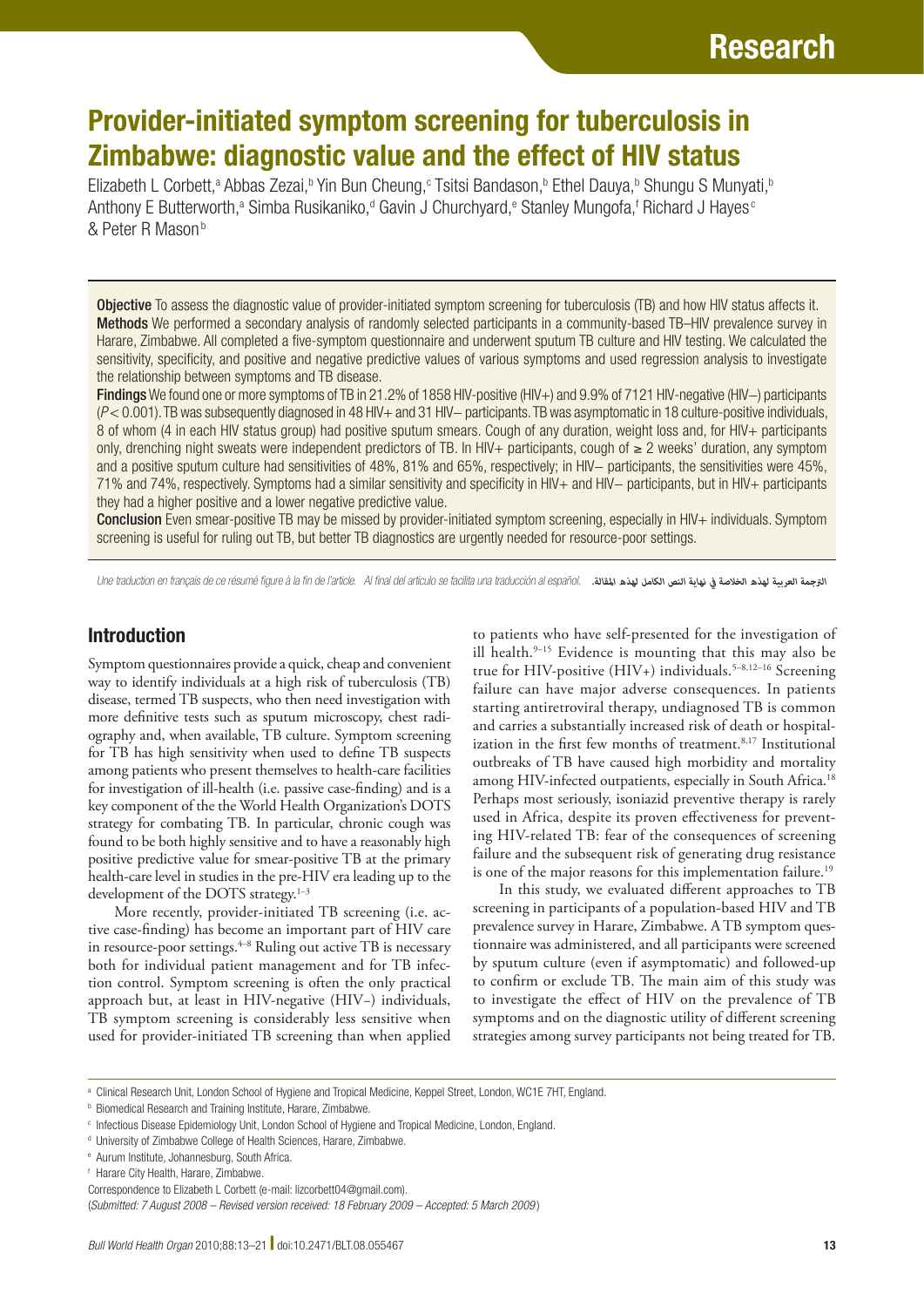# Provider-initiated symptom screening for tuberculosis in Zimbabwe: diagnostic value and the effect of HIV status

Elizabeth L Corbett,<sup>a</sup> Abbas Zezai,<sup>b</sup> Yin Bun Cheung,<sup>c</sup> Tsitsi Bandason,<sup>b</sup> Ethel Dauya,<sup>b</sup> Shungu S Munyati,<sup>b</sup> Anthony E Butterworth,<sup>a</sup> Simba Rusikaniko,<sup>d</sup> Gavin J Churchyard,<sup>e</sup> Stanley Mungofa,<sup>f</sup> Richard J Hayes<sup>o</sup> & Peter R Mason<sup>b</sup>

Objective To assess the diagnostic value of provider-initiated symptom screening for tuberculosis (TB) and how HIV status affects it. Methods We performed a secondary analysis of randomly selected participants in a community-based TB–HIV prevalence survey in Harare, Zimbabwe. All completed a five-symptom questionnaire and underwent sputum TB culture and HIV testing. We calculated the sensitivity, specificity, and positive and negative predictive values of various symptoms and used regression analysis to investigate the relationship between symptoms and TB disease.

Findings We found one or more symptoms of TB in 21.2% of 1858 HIV-positive (HIV+) and 9.9% of 7121 HIV-negative (HIV−) participants (*P* < 0.001). TB was subsequently diagnosed in 48 HIV+ and 31 HIV− participants. TB was asymptomatic in 18 culture-positive individuals, 8 of whom (4 in each HIV status group) had positive sputum smears. Cough of any duration, weight loss and, for HIV+ participants only, drenching night sweats were independent predictors of TB. In HIV+ participants, cough of  $\geq 2$  weeks' duration, any symptom and a positive sputum culture had sensitivities of 48%, 81% and 65%, respectively; in HIV− participants, the sensitivities were 45%, 71% and 74%, respectively. Symptoms had a similar sensitivity and specificity in HIV+ and HIV− participants, but in HIV+ participants they had a higher positive and a lower negative predictive value.

Conclusion Even smear-positive TB may be missed by provider-initiated symptom screening, especially in HIV+ individuals. Symptom screening is useful for ruling out TB, but better TB diagnostics are urgently needed for resource-poor settings.

Une traduction en français de ce résumé figure à la fin de l'article. Al final del artículo se facilita una traducción al español. *.املقالة لهذه الكامل النص نهاية يف الخالصة لهذه العربية الرتجمة*

# Introduction

Symptom questionnaires provide a quick, cheap and convenient way to identify individuals at a high risk of tuberculosis (TB) disease, termed TB suspects, who then need investigation with more definitive tests such as sputum microscopy, chest radiography and, when available, TB culture. Symptom screening for TB has high sensitivity when used to define TB suspects among patients who present themselves to health-care facilities for investigation of ill-health (i.e. passive case-finding) and is a key component of the the World Health Organization's DOTS strategy for combating TB. In particular, chronic cough was found to be both highly sensitive and to have a reasonably high positive predictive value for smear-positive TB at the primary health-care level in studies in the pre-HIV era leading up to the development of the DOTS strategy.<sup>1-3</sup>

More recently, provider-initiated TB screening (i.e. active case-finding) has become an important part of HIV care in resource-poor settings.<sup>4–8</sup> Ruling out active TB is necessary both for individual patient management and for TB infection control. Symptom screening is often the only practical approach but, at least in HIV-negative (HIV−) individuals, TB symptom screening is considerably less sensitive when used for provider-initiated TB screening than when applied

to patients who have self-presented for the investigation of ill health. $9-15$  Evidence is mounting that this may also be true for HIV-positive (HIV+) individuals.<sup>5-8,12-16</sup> Screening failure can have major adverse consequences. In patients starting antiretroviral therapy, undiagnosed TB is common and carries a substantially increased risk of death or hospitalization in the first few months of treatment.<sup>8,17</sup> Institutional outbreaks of TB have caused high morbidity and mortality among HIV-infected outpatients, especially in South Africa.<sup>18</sup> Perhaps most seriously, isoniazid preventive therapy is rarely used in Africa, despite its proven effectiveness for preventing HIV-related TB: fear of the consequences of screening failure and the subsequent risk of generating drug resistance is one of the major reasons for this implementation failure.<sup>19</sup>

In this study, we evaluated different approaches to TB screening in participants of a population-based HIV and TB prevalence survey in Harare, Zimbabwe. A TB symptom questionnaire was administered, and all participants were screened by sputum culture (even if asymptomatic) and followed-up to confirm or exclude TB. The main aim of this study was to investigate the effect of HIV on the prevalence of TB symptoms and on the diagnostic utility of different screening strategies among survey participants not being treated for TB.

a Clinical Research Unit, London School of Hygiene and Tropical Medicine, Keppel Street, London, WC1E 7HT, England.

**Biomedical Research and Training Institute, Harare, Zimbabwe.** 

c Infectious Disease Epidemiology Unit, London School of Hygiene and Tropical Medicine, London, England.

<sup>&</sup>lt;sup>d</sup> University of Zimbabwe College of Health Sciences, Harare, Zimbabwe.

e Aurum Institute, Johannesburg, South Africa.

f Harare City Health, Harare, Zimbabwe.

Correspondence to Elizabeth L Corbett (e-mail: lizcorbett04@gmail.com).

<sup>(</sup>*Submitted: 7 August 2008 – Revised version received: 18 February 2009 – Accepted: 5 March 2009* )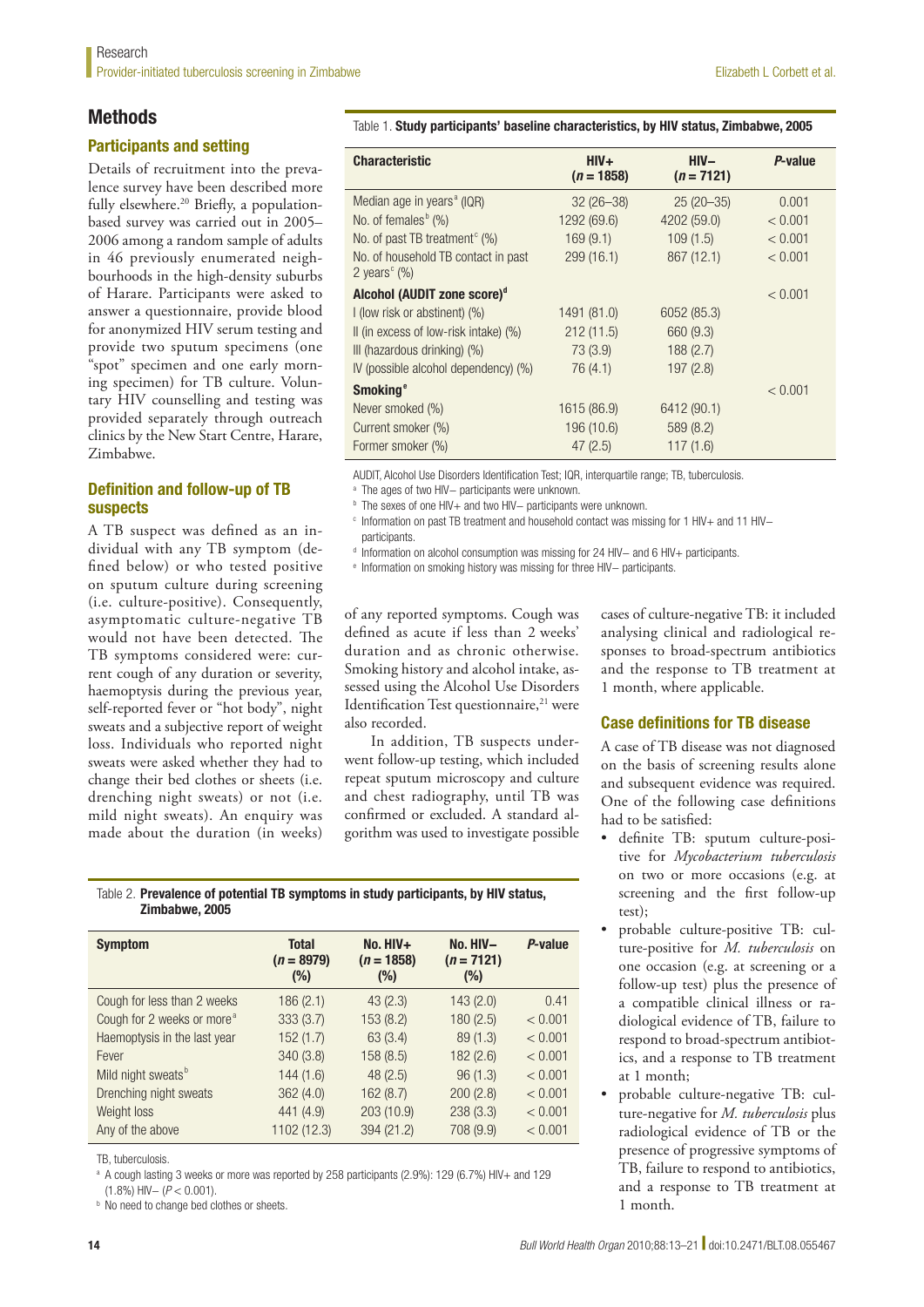# Methods

#### Participants and setting

Details of recruitment into the prevalence survey have been described more fully elsewhere.<sup>20</sup> Briefly, a populationbased survey was carried out in 2005– 2006 among a random sample of adults in 46 previously enumerated neighbourhoods in the high-density suburbs of Harare. Participants were asked to answer a questionnaire, provide blood for anonymized HIV serum testing and provide two sputum specimens (one "spot" specimen and one early morning specimen) for TB culture. Voluntary HIV counselling and testing was provided separately through outreach clinics by the New Start Centre, Harare, Zimbabwe.

# Definition and follow-up of TB suspects

A TB suspect was defined as an individual with any TB symptom (defined below) or who tested positive on sputum culture during screening (i.e. culture-positive). Consequently, asymptomatic culture-negative TB would not have been detected. The TB symptoms considered were: current cough of any duration or severity, haemoptysis during the previous year, self-reported fever or "hot body", night sweats and a subjective report of weight loss. Individuals who reported night sweats were asked whether they had to change their bed clothes or sheets (i.e. drenching night sweats) or not (i.e. mild night sweats). An enquiry was made about the duration (in weeks)

Table 1. Study participants' baseline characteristics, by HIV status, Zimbabwe, 2005

| <b>Characteristic</b>                                | $HIV+$<br>$(n = 1858)$ | $HIV -$<br>$(n = 7121)$ | P-value |
|------------------------------------------------------|------------------------|-------------------------|---------|
| Median age in years <sup>a</sup> (IQR)               | $32(26 - 38)$          | $25(20-35)$             | 0.001   |
| No. of females <sup>b</sup> (%)                      | 1292 (69.6)            | 4202 (59.0)             | < 0.001 |
| No. of past TB treatment <sup>c</sup> $(\%)$         | 169(9.1)               | 109(1.5)                | < 0.001 |
| No. of household TB contact in past<br>2 years $(%)$ | 299(16.1)              | 867 (12.1)              | < 0.001 |
| Alcohol (AUDIT zone score) <sup>d</sup>              |                        |                         | < 0.001 |
| I (low risk or abstinent) (%)                        | 1491 (81.0)            | 6052 (85.3)             |         |
| II (in excess of low-risk intake) (%)                | 212(11.5)              | 660 (9.3)               |         |
| III (hazardous drinking) (%)                         | 73(3.9)                | 188(2.7)                |         |
| IV (possible alcohol dependency) (%)                 | 76 (4.1)               | 197(2.8)                |         |
| <b>Smoking<sup>e</sup></b>                           |                        |                         | < 0.001 |
| Never smoked (%)                                     | 1615 (86.9)            | 6412 (90.1)             |         |
| Current smoker (%)                                   | 196 (10.6)             | 589 (8.2)               |         |
| Former smoker (%)                                    | 47(2.5)                | 117(1.6)                |         |

AUDIT, Alcohol Use Disorders Identification Test; IQR, interquartile range; TB, tuberculosis.

<sup>a</sup> The ages of two HIV– participants were unknown.

b The sexes of one HIV+ and two HIV- participants were unknown.

c Information on past TB treatment and household contact was missing for 1 HIV+ and 11 HIV− participants.

d Information on alcohol consumption was missing for 24 HIV− and 6 HIV+ participants.

<sup>e</sup> Information on smoking history was missing for three HIV- participants.

of any reported symptoms. Cough was defined as acute if less than 2 weeks' duration and as chronic otherwise. Smoking history and alcohol intake, assessed using the Alcohol Use Disorders Identification Test questionnaire,<sup>21</sup> were also recorded.

In addition, TB suspects underwent follow-up testing, which included repeat sputum microscopy and culture and chest radiography, until TB was confirmed or excluded. A standard algorithm was used to investigate possible cases of culture-negative TB: it included analysing clinical and radiological responses to broad-spectrum antibiotics and the response to TB treatment at 1 month, where applicable.

#### Case definitions for TB disease

A case of TB disease was not diagnosed on the basis of screening results alone and subsequent evidence was required. One of the following case definitions had to be satisfied:

- definite TB: sputum culture-positive for *Mycobacterium tuberculosis* on two or more occasions (e.g. at screening and the first follow-up test);
- probable culture-positive TB: culture-positive for *M. tuberculosis* on one occasion (e.g. at screening or a follow-up test) plus the presence of a compatible clinical illness or radiological evidence of TB, failure to respond to broad-spectrum antibiotics, and a response to TB treatment at 1 month;
- probable culture-negative TB: culture-negative for *M. tuberculosis* plus radiological evidence of TB or the presence of progressive symptoms of TB, failure to respond to antibiotics, and a response to TB treatment at 1 month.

Table 2. Prevalence of potential TB symptoms in study participants, by HIV status, Zimbabwe, 2005

| <b>Symptom</b>                         | <b>Total</b><br>$(n = 8979)$<br>$(\%)$ | No. HIV+<br>$(n = 1858)$<br>$(\%)$ | No. HIV-<br>$(n = 7121)$<br>(%) | P-value |
|----------------------------------------|----------------------------------------|------------------------------------|---------------------------------|---------|
| Cough for less than 2 weeks            | 186(2.1)                               | 43(2.3)                            | 143(2.0)                        | 0.41    |
| Cough for 2 weeks or more <sup>a</sup> | 333(3.7)                               | 153 (8.2)                          | 180(2.5)                        | < 0.001 |
| Haemoptysis in the last year           | 152(1.7)                               | 63(3.4)                            | 89(1.3)                         | < 0.001 |
| Fever                                  | 340(3.8)                               | 158 (8.5)                          | 182 (2.6)                       | < 0.001 |
| Mild night sweats <sup>b</sup>         | 144 (1.6)                              | 48(2.5)                            | 96(1.3)                         | < 0.001 |
| Drenching night sweats                 | 362(4.0)                               | 162(8.7)                           | 200(2.8)                        | < 0.001 |
| Weight loss                            | 441 (4.9)                              | 203 (10.9)                         | 238(3.3)                        | < 0.001 |
| Any of the above                       | 1102 (12.3)                            | 394 (21.2)                         | 708 (9.9)                       | < 0.001 |
|                                        |                                        |                                    |                                 |         |

TB, tuberculosis.

<sup>a</sup> A cough lasting 3 weeks or more was reported by 258 participants (2.9%): 129 (6.7%) HIV+ and 129 (1.8%) HIV− (*P* < 0.001).

<sup>b</sup> No need to change bed clothes or sheets.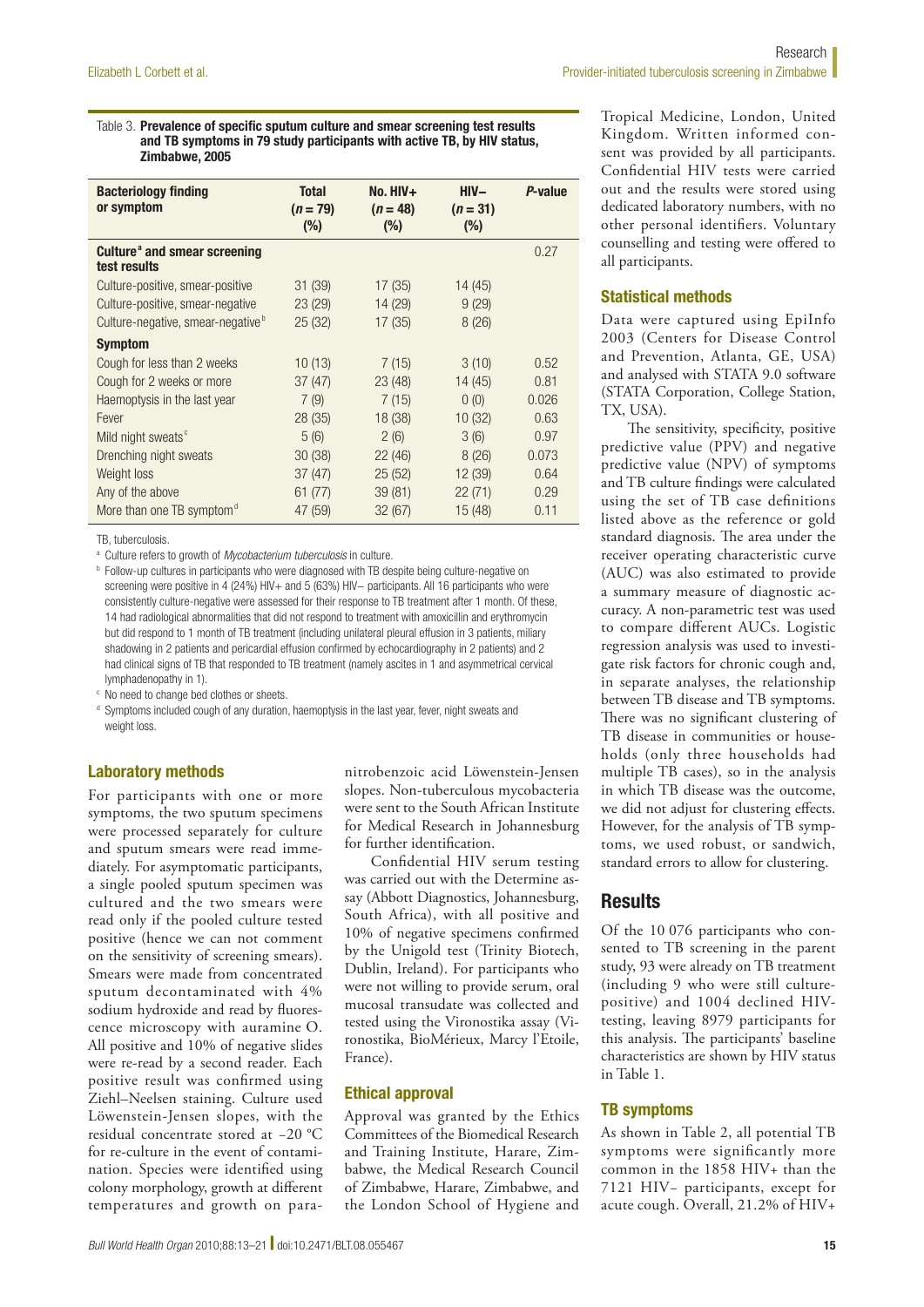Table 3. Prevalence of specific sputum culture and smear screening test results and TB symptoms in 79 study participants with active TB, by HIV status, Zimbabwe, 2005

| <b>Total</b><br>$(n = 79)$<br>$(\%)$ | No. HIV+<br>$(n = 48)$<br>$(\%)$ | $HIV -$<br>$(n = 31)$<br>$(\%)$ |       |
|--------------------------------------|----------------------------------|---------------------------------|-------|
|                                      |                                  |                                 | 0.27  |
| 31(39)                               | 17(35)                           | 14 (45)                         |       |
| 23(29)                               | 14 (29)                          | 9(29)                           |       |
| 25(32)                               | 17 (35)                          | 8(26)                           |       |
|                                      |                                  |                                 |       |
| 10(13)                               | 7(15)                            | 3(10)                           | 0.52  |
| 37(47)                               | 23(48)                           | 14(45)                          | 0.81  |
| 7(9)                                 | 7(15)                            | 0(0)                            | 0.026 |
| 28(35)                               | 18 (38)                          | 10(32)                          | 0.63  |
| 5(6)                                 | 2(6)                             | 3(6)                            | 0.97  |
| 30(38)                               | 22(46)                           | 8(26)                           | 0.073 |
| 37(47)                               | 25 (52)                          | 12 (39)                         | 0.64  |
| 61(77)                               | 39 (81)                          | 22(71)                          | 0.29  |
| 47 (59)                              | 32 (67)                          | 15 (48)                         | 0.11  |
|                                      |                                  |                                 |       |

TB, tuberculosis.

a Culture refers to growth of *Mycobacterium tuberculosis* in culture.

**b Follow-up cultures in participants who were diagnosed with TB despite being culture-negative on** screening were positive in 4 (24%) HIV+ and 5 (63%) HIV- participants. All 16 participants who were consistently culture-negative were assessed for their response to TB treatment after 1 month. Of these, 14 had radiological abnormalities that did not respond to treatment with amoxicillin and erythromycin but did respond to 1 month of TB treatment (including unilateral pleural effusion in 3 patients, miliary shadowing in 2 patients and pericardial effusion confirmed by echocardiography in 2 patients) and 2 had clinical signs of TB that responded to TB treatment (namely ascites in 1 and asymmetrical cervical lymphadenopathy in 1).

<sup>c</sup> No need to change bed clothes or sheets.

<sup>d</sup> Symptoms included cough of any duration, haemoptysis in the last year, fever, night sweats and weight loss.

# Laboratory methods

For participants with one or more symptoms, the two sputum specimens were processed separately for culture and sputum smears were read immediately. For asymptomatic participants, a single pooled sputum specimen was cultured and the two smears were read only if the pooled culture tested positive (hence we can not comment on the sensitivity of screening smears). Smears were made from concentrated sputum decontaminated with 4% sodium hydroxide and read by fluorescence microscopy with auramine O. All positive and 10% of negative slides were re-read by a second reader. Each positive result was confirmed using Ziehl–Neelsen staining. Culture used Löwenstein-Jensen slopes, with the residual concentrate stored at −20 °C for re-culture in the event of contamination. Species were identified using colony morphology, growth at different temperatures and growth on paranitrobenzoic acid Löwenstein-Jensen slopes. Non-tuberculous mycobacteria were sent to the South African Institute for Medical Research in Johannesburg for further identification.

Confidential HIV serum testing was carried out with the Determine assay (Abbott Diagnostics, Johannesburg, South Africa), with all positive and 10% of negative specimens confirmed by the Unigold test (Trinity Biotech, Dublin, Ireland). For participants who were not willing to provide serum, oral mucosal transudate was collected and tested using the Vironostika assay (Vironostika, BioMérieux, Marcy l'Etoile, France).

#### Ethical approval

Approval was granted by the Ethics Committees of the Biomedical Research and Training Institute, Harare, Zimbabwe, the Medical Research Council of Zimbabwe, Harare, Zimbabwe, and the London School of Hygiene and

Tropical Medicine, London, United Kingdom. Written informed consent was provided by all participants. Confidential HIV tests were carried out and the results were stored using dedicated laboratory numbers, with no other personal identifiers. Voluntary counselling and testing were offered to all participants.

### Statistical methods

Data were captured using EpiInfo 2003 (Centers for Disease Control and Prevention, Atlanta, GE, USA) and analysed with STATA 9.0 software (STATA Corporation, College Station, TX, USA).

The sensitivity, specificity, positive predictive value (PPV) and negative predictive value (NPV) of symptoms and TB culture findings were calculated using the set of TB case definitions listed above as the reference or gold standard diagnosis. The area under the receiver operating characteristic curve (AUC) was also estimated to provide a summary measure of diagnostic accuracy. A non-parametric test was used to compare different AUCs. Logistic regression analysis was used to investigate risk factors for chronic cough and, in separate analyses, the relationship between TB disease and TB symptoms. There was no significant clustering of TB disease in communities or households (only three households had multiple TB cases), so in the analysis in which TB disease was the outcome, we did not adjust for clustering effects. However, for the analysis of TB symptoms, we used robust, or sandwich, standard errors to allow for clustering.

# **Results**

Of the 10 076 participants who consented to TB screening in the parent study, 93 were already on TB treatment (including 9 who were still culturepositive) and 1004 declined HIVtesting, leaving 8979 participants for this analysis. The participants' baseline characteristics are shown by HIV status in Table 1.

#### TB symptoms

As shown in Table 2, all potential TB symptoms were significantly more common in the 1858 HIV+ than the 7121 HIV− participants, except for acute cough. Overall, 21.2% of HIV+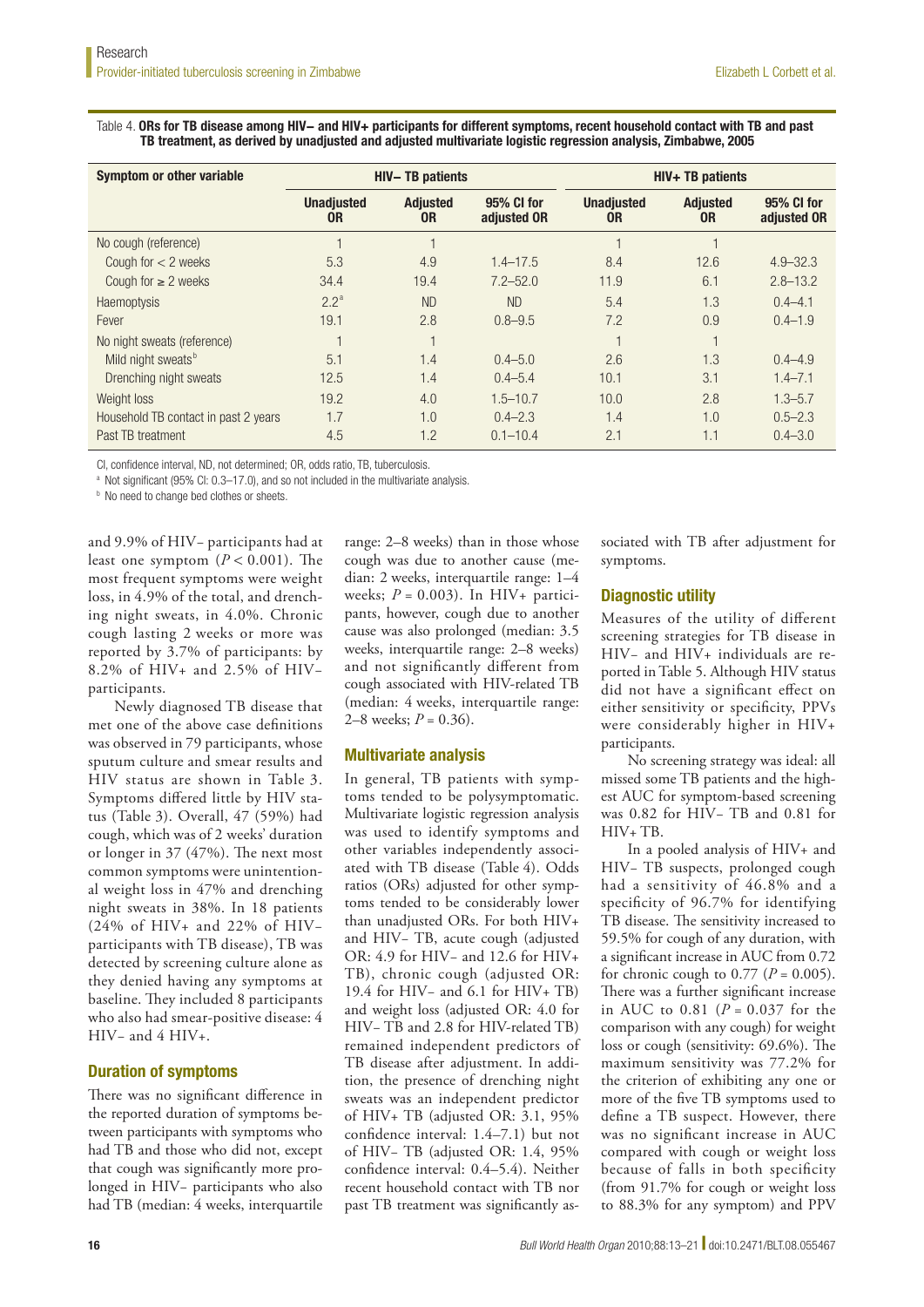Table 4. ORs for TB disease among HIV− and HIV+ participants for different symptoms, recent household contact with TB and past TB treatment, as derived by unadjusted and adjusted multivariate logistic regression analysis, Zimbabwe, 2005

| Symptom or other variable            | <b>HIV-TB patients</b>         |                              |                           | $HIV + TB$ patients                 |                              |                           |  |
|--------------------------------------|--------------------------------|------------------------------|---------------------------|-------------------------------------|------------------------------|---------------------------|--|
|                                      | <b>Unadjusted</b><br><b>OR</b> | <b>Adjusted</b><br><b>OR</b> | 95% CI for<br>adjusted OR | <b>Unadjusted</b><br>0 <sub>R</sub> | <b>Adjusted</b><br><b>OR</b> | 95% CI for<br>adjusted OR |  |
| No cough (reference)                 |                                |                              |                           |                                     |                              |                           |  |
| Cough for $<$ 2 weeks                | 5.3                            | 4.9                          | $1.4 - 17.5$              | 8.4                                 | 12.6                         | $4.9 - 32.3$              |  |
| Cough for $\geq 2$ weeks             | 34.4                           | 19.4                         | $7.2 - 52.0$              | 11.9                                | 6.1                          | $2.8 - 13.2$              |  |
| Haemoptysis                          | 2.2 <sup>a</sup>               | <b>ND</b>                    | <b>ND</b>                 | 5.4                                 | 1.3                          | $0.4 - 4.1$               |  |
| Fever                                | 19.1                           | 2.8                          | $0.8 - 9.5$               | 7.2                                 | 0.9                          | $0.4 - 1.9$               |  |
| No night sweats (reference)          |                                |                              |                           |                                     |                              |                           |  |
| Mild night sweats <sup>b</sup>       | 5.1                            | 1.4                          | $0.4 - 5.0$               | 2.6                                 | 1.3                          | $0.4 - 4.9$               |  |
| Drenching night sweats               | 12.5                           | 1.4                          | $0.4 - 5.4$               | 10.1                                | 3.1                          | $1.4 - 7.1$               |  |
| Weight loss                          | 19.2                           | 4.0                          | $1.5 - 10.7$              | 10.0                                | 2.8                          | $1.3 - 5.7$               |  |
| Household TB contact in past 2 years | 1.7                            | 1.0                          | $0.4 - 2.3$               | 1.4                                 | 1.0                          | $0.5 - 2.3$               |  |
| Past TB treatment                    | 4.5                            | 1.2                          | $0.1 - 10.4$              | 2.1                                 | 1.1                          | $0.4 - 3.0$               |  |

CI, confidence interval, ND, not determined; OR, odds ratio, TB, tuberculosis.

<sup>a</sup> Not significant (95% Cl: 0.3-17.0), and so not included in the multivariate analysis.

**No need to change bed clothes or sheets.** 

and 9.9% of HIV− participants had at least one symptom  $(P < 0.001)$ . The most frequent symptoms were weight loss, in 4.9% of the total, and drenching night sweats, in 4.0%. Chronic cough lasting 2 weeks or more was reported by 3.7% of participants: by 8.2% of HIV+ and 2.5% of HIV− participants.

Newly diagnosed TB disease that met one of the above case definitions was observed in 79 participants, whose sputum culture and smear results and HIV status are shown in Table 3. Symptoms differed little by HIV status (Table 3). Overall, 47 (59%) had cough, which was of 2 weeks' duration or longer in 37 (47%). The next most common symptoms were unintentional weight loss in 47% and drenching night sweats in 38%. In 18 patients (24% of HIV+ and 22% of HIV− participants with TB disease), TB was detected by screening culture alone as they denied having any symptoms at baseline. They included 8 participants who also had smear-positive disease: 4 HIV− and 4 HIV+.

#### Duration of symptoms

There was no significant difference in the reported duration of symptoms between participants with symptoms who had TB and those who did not, except that cough was significantly more prolonged in HIV− participants who also had TB (median: 4 weeks, interquartile

range: 2–8 weeks) than in those whose cough was due to another cause (median: 2 weeks, interquartile range: 1–4 weeks;  $P = 0.003$ ). In HIV+ participants, however, cough due to another cause was also prolonged (median: 3.5 weeks, interquartile range: 2–8 weeks) and not significantly different from cough associated with HIV-related TB (median: 4 weeks, interquartile range: 2–8 weeks; *P* = 0.36).

#### Multivariate analysis

In general, TB patients with symptoms tended to be polysymptomatic. Multivariate logistic regression analysis was used to identify symptoms and other variables independently associated with TB disease (Table 4). Odds ratios (ORs) adjusted for other symptoms tended to be considerably lower than unadjusted ORs. For both HIV+ and HIV− TB, acute cough (adjusted OR: 4.9 for HIV− and 12.6 for HIV+ TB), chronic cough (adjusted OR: 19.4 for HIV− and 6.1 for HIV+ TB) and weight loss (adjusted OR: 4.0 for HIV-TB and 2.8 for HIV-related TB) remained independent predictors of TB disease after adjustment. In addition, the presence of drenching night sweats was an independent predictor of HIV+ TB (adjusted OR: 3.1, 95% confidence interval: 1.4–7.1) but not of HIV− TB (adjusted OR: 1.4, 95% confidence interval: 0.4–5.4). Neither recent household contact with TB nor past TB treatment was significantly associated with TB after adjustment for symptoms.

# Diagnostic utility

Measures of the utility of different screening strategies for TB disease in HIV− and HIV+ individuals are reported in Table 5. Although HIV status did not have a significant effect on either sensitivity or specificity, PPVs were considerably higher in HIV+ participants.

No screening strategy was ideal: all missed some TB patients and the highest AUC for symptom-based screening was 0.82 for HIV− TB and 0.81 for HIV+ TB.

In a pooled analysis of HIV+ and HIV− TB suspects, prolonged cough had a sensitivity of 46.8% and a specificity of 96.7% for identifying TB disease. The sensitivity increased to 59.5% for cough of any duration, with a significant increase in AUC from 0.72 for chronic cough to  $0.77$  ( $P = 0.005$ ). There was a further significant increase in AUC to 0.81 (*P* = 0.037 for the comparison with any cough) for weight loss or cough (sensitivity: 69.6%). The maximum sensitivity was 77.2% for the criterion of exhibiting any one or more of the five TB symptoms used to define a TB suspect. However, there was no significant increase in AUC compared with cough or weight loss because of falls in both specificity (from 91.7% for cough or weight loss to 88.3% for any symptom) and PPV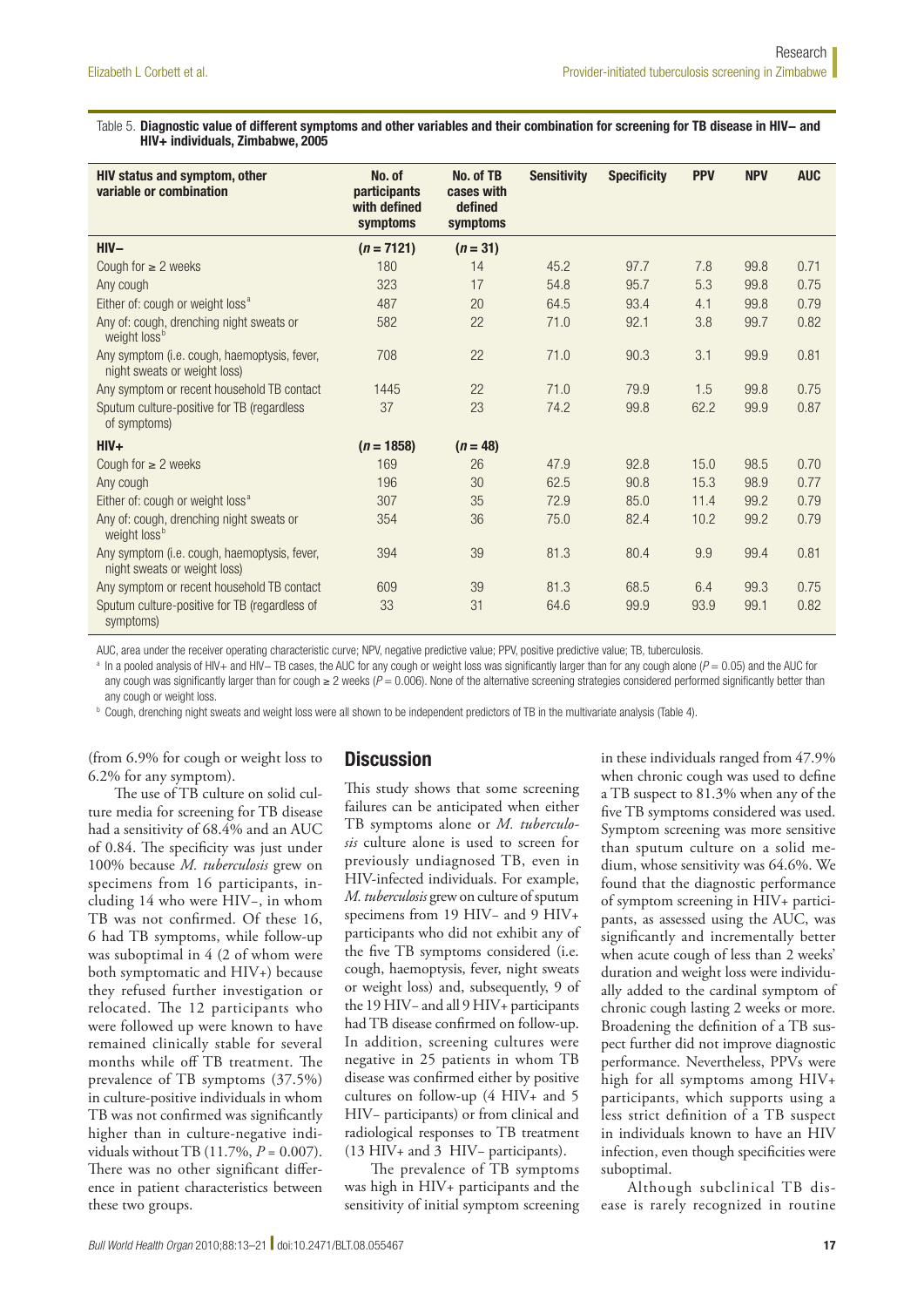#### Table 5. Diagnostic value of different symptoms and other variables and their combination for screening for TB disease in HIV- and HIV+ individuals, Zimbabwe, 2005

| <b>HIV status and symptom, other</b><br>variable or combination              | No. of<br><b>participants</b><br>with defined<br>symptoms | No. of TB<br>cases with<br>defined<br>symptoms | <b>Sensitivity</b> | <b>Specificity</b> | <b>PPV</b> | <b>NPV</b> | <b>AUC</b> |
|------------------------------------------------------------------------------|-----------------------------------------------------------|------------------------------------------------|--------------------|--------------------|------------|------------|------------|
| $HIV -$                                                                      | $(n = 7121)$                                              | $(n = 31)$                                     |                    |                    |            |            |            |
| Cough for $\geq 2$ weeks                                                     | 180                                                       | 14                                             | 45.2               | 97.7               | 7.8        | 99.8       | 0.71       |
| Any cough                                                                    | 323                                                       | 17                                             | 54.8               | 95.7               | 5.3        | 99.8       | 0.75       |
| Either of: cough or weight loss <sup>a</sup>                                 | 487                                                       | 20                                             | 64.5               | 93.4               | 4.1        | 99.8       | 0.79       |
| Any of: cough, drenching night sweats or<br>weight loss <sup>b</sup>         | 582                                                       | 22                                             | 71.0               | 92.1               | 3.8        | 99.7       | 0.82       |
| Any symptom (i.e. cough, haemoptysis, fever,<br>night sweats or weight loss) | 708                                                       | 22                                             | 71.0               | 90.3               | 3.1        | 99.9       | 0.81       |
| Any symptom or recent household TB contact                                   | 1445                                                      | 22                                             | 71.0               | 79.9               | 1.5        | 99.8       | 0.75       |
| Sputum culture-positive for TB (regardless<br>of symptoms)                   | 37                                                        | 23                                             | 74.2               | 99.8               | 62.2       | 99.9       | 0.87       |
| $HIV+$                                                                       | $(n = 1858)$                                              | $(n = 48)$                                     |                    |                    |            |            |            |
| Cough for $\geq 2$ weeks                                                     | 169                                                       | 26                                             | 47.9               | 92.8               | 15.0       | 98.5       | 0.70       |
| Any cough                                                                    | 196                                                       | 30                                             | 62.5               | 90.8               | 15.3       | 98.9       | 0.77       |
| Either of: cough or weight loss <sup>a</sup>                                 | 307                                                       | 35                                             | 72.9               | 85.0               | 11.4       | 99.2       | 0.79       |
| Any of: cough, drenching night sweats or<br>weight loss <sup>b</sup>         | 354                                                       | 36                                             | 75.0               | 82.4               | 10.2       | 99.2       | 0.79       |
| Any symptom (i.e. cough, haemoptysis, fever,<br>night sweats or weight loss) | 394                                                       | 39                                             | 81.3               | 80.4               | 9.9        | 99.4       | 0.81       |
| Any symptom or recent household TB contact                                   | 609                                                       | 39                                             | 81.3               | 68.5               | 6.4        | 99.3       | 0.75       |
| Sputum culture-positive for TB (regardless of<br>symptoms)                   | 33                                                        | 31                                             | 64.6               | 99.9               | 93.9       | 99.1       | 0.82       |

AUC, area under the receiver operating characteristic curve; NPV, negative predictive value; PPV, positive predictive value; TB, tuberculosis.

a In a pooled analysis of HIV+ and HIV− TB cases, the AUC for any cough or weight loss was significantly larger than for any cough alone (*P* = 0.05) and the AUC for any cough was significantly larger than for cough  $\geq 2$  weeks ( $P = 0.006$ ). None of the alternative screening strategies considered performed significantly better than any cough or weight loss.

<sup>b</sup> Cough, drenching night sweats and weight loss were all shown to be independent predictors of TB in the multivariate analysis (Table 4).

(from 6.9% for cough or weight loss to 6.2% for any symptom).

The use of TB culture on solid culture media for screening for TB disease had a sensitivity of 68.4% and an AUC of 0.84. The specificity was just under 100% because *M. tuberculosis* grew on specimens from 16 participants, including 14 who were HIV−, in whom TB was not confirmed. Of these 16, 6 had TB symptoms, while follow-up was suboptimal in 4 (2 of whom were both symptomatic and HIV+) because they refused further investigation or relocated. The 12 participants who were followed up were known to have remained clinically stable for several months while off TB treatment. The prevalence of TB symptoms (37.5%) in culture-positive individuals in whom TB was not confirmed was significantly higher than in culture-negative individuals without TB (11.7%, *P* = 0.007). There was no other significant difference in patient characteristics between these two groups.

# **Discussion**

This study shows that some screening failures can be anticipated when either TB symptoms alone or *M. tuberculosis* culture alone is used to screen for previously undiagnosed TB, even in HIV-infected individuals. For example, *M. tuberculosis* grew on culture of sputum specimens from 19 HIV− and 9 HIV+ participants who did not exhibit any of the five TB symptoms considered (i.e. cough, haemoptysis, fever, night sweats or weight loss) and, subsequently, 9 of the 19 HIV− and all 9 HIV+ participants had TB disease confirmed on follow-up. In addition, screening cultures were negative in 25 patients in whom TB disease was confirmed either by positive cultures on follow-up (4 HIV+ and 5 HIV– participants) or from clinical and radiological responses to TB treatment (13 HIV+ and 3 HIV− participants).

The prevalence of TB symptoms was high in HIV+ participants and the sensitivity of initial symptom screening in these individuals ranged from 47.9% when chronic cough was used to define a TB suspect to 81.3% when any of the five TB symptoms considered was used. Symptom screening was more sensitive than sputum culture on a solid medium, whose sensitivity was 64.6%. We found that the diagnostic performance of symptom screening in HIV+ participants, as assessed using the AUC, was significantly and incrementally better when acute cough of less than 2 weeks' duration and weight loss were individually added to the cardinal symptom of chronic cough lasting 2 weeks or more. Broadening the definition of a TB suspect further did not improve diagnostic performance. Nevertheless, PPVs were high for all symptoms among HIV+ participants, which supports using a less strict definition of a TB suspect in individuals known to have an HIV infection, even though specificities were suboptimal.

Although subclinical TB disease is rarely recognized in routine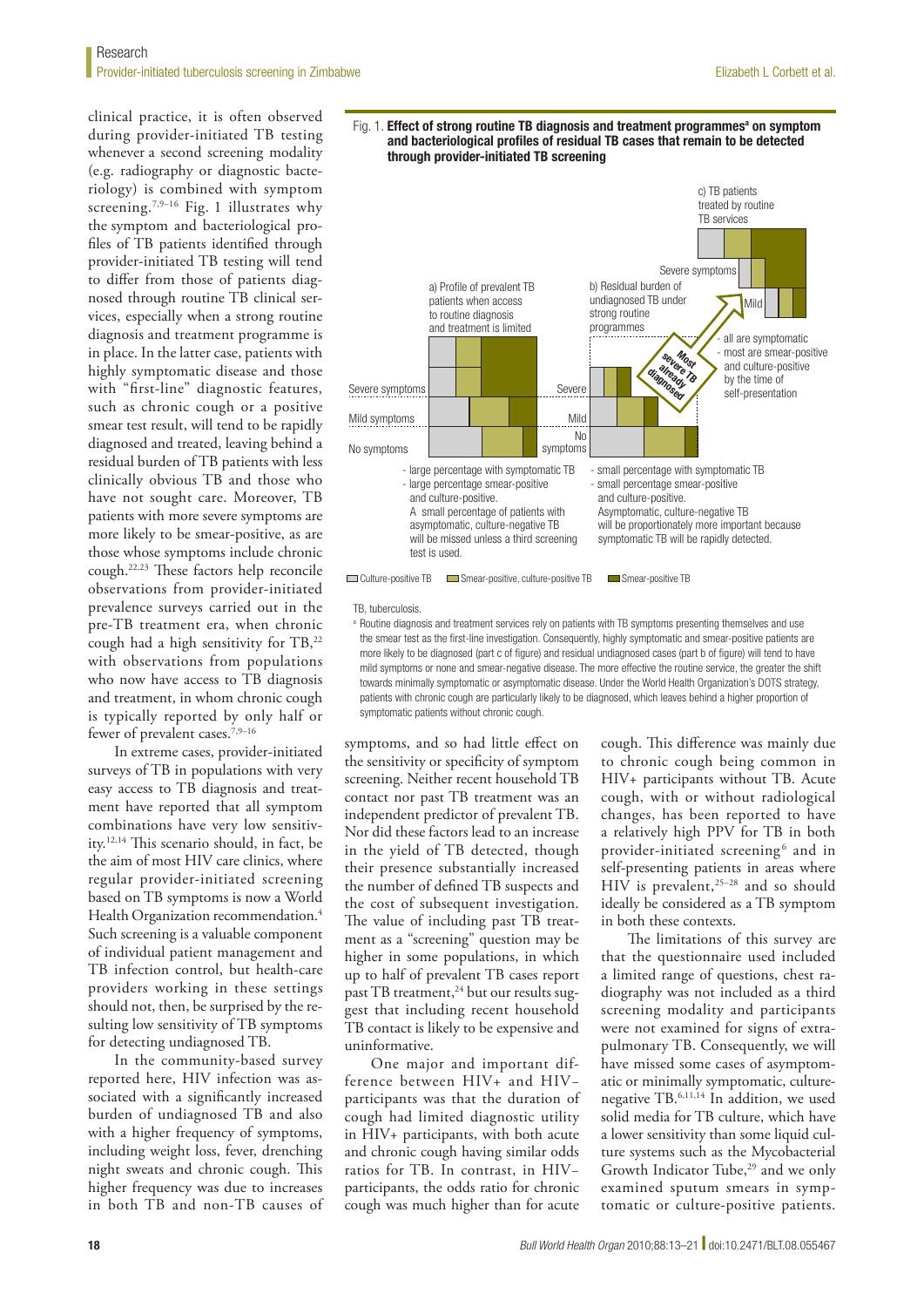clinical practice, it is often observed during provider-initiated TB testing whenever a second screening modality (e.g. radiography or diagnostic bacteriology) is combined with symptom screening.<sup>7,9-16</sup> Fig. 1 illustrates why the symptom and bacteriological profiles of TB patients identified through provider-initiated TB testing will tend to differ from those of patients diagnosed through routine TB clinical services, especially when a strong routine diagnosis and treatment programme is in place. In the latter case, patients with highly symptomatic disease and those with "first-line" diagnostic features, such as chronic cough or a positive smear test result, will tend to be rapidly diagnosed and treated, leaving behind a residual burden of TB patients with less clinically obvious TB and those who have not sought care. Moreover, TB patients with more severe symptoms are more likely to be smear-positive, as are those whose symptoms include chronic cough.22,23 These factors help reconcile observations from provider-initiated prevalence surveys carried out in the pre-TB treatment era, when chronic cough had a high sensitivity for TB,<sup>22</sup> with observations from populations who now have access to TB diagnosis and treatment, in whom chronic cough is typically reported by only half or fewer of prevalent cases.<sup>7,9-16</sup>

In extreme cases, provider-initiated surveys of TB in populations with very easy access to TB diagnosis and treatment have reported that all symptom combinations have very low sensitivity.12,14 This scenario should, in fact, be the aim of most HIV care clinics, where regular provider-initiated screening based on TB symptoms is now a World Health Organization recommendation.<sup>4</sup> Such screening is a valuable component of individual patient management and TB infection control, but health-care providers working in these settings should not, then, be surprised by the resulting low sensitivity of TB symptoms for detecting undiagnosed TB.

In the community-based survey reported here, HIV infection was associated with a significantly increased burden of undiagnosed TB and also with a higher frequency of symptoms, including weight loss, fever, drenching night sweats and chronic cough. This higher frequency was due to increases in both TB and non-TB causes of





TB, tuberculosis.

<sup>a</sup> Routine diagnosis and treatment services rely on patients with TB symptoms presenting themselves and use the smear test as the first-line investigation. Consequently, highly symptomatic and smear-positive patients are more likely to be diagnosed (part c of figure) and residual undiagnosed cases (part b of figure) will tend to have mild symptoms or none and smear-negative disease. The more effective the routine service, the greater the shift towards minimally symptomatic or asymptomatic disease. Under the World Health Organization's DOTS strategy, patients with chronic cough are particularly likely to be diagnosed, which leaves behind a higher proportion of symptomatic patients without chronic cough.

symptoms, and so had little effect on the sensitivity or specificity of symptom screening. Neither recent household TB contact nor past TB treatment was an independent predictor of prevalent TB. Nor did these factors lead to an increase in the yield of TB detected, though their presence substantially increased the number of defined TB suspects and the cost of subsequent investigation. The value of including past TB treatment as a "screening" question may be higher in some populations, in which up to half of prevalent TB cases report past TB treatment,<sup>24</sup> but our results suggest that including recent household TB contact is likely to be expensive and uninformative.

One major and important difference between HIV+ and HIV− participants was that the duration of cough had limited diagnostic utility in HIV+ participants, with both acute and chronic cough having similar odds ratios for TB. In contrast, in HIV− participants, the odds ratio for chronic cough was much higher than for acute

cough. This difference was mainly due to chronic cough being common in HIV+ participants without TB. Acute cough, with or without radiological changes, has been reported to have a relatively high PPV for TB in both provider-initiated screening<sup>6</sup> and in self-presenting patients in areas where  $HIV$  is prevalent,<sup>25-28</sup> and so should ideally be considered as a TB symptom in both these contexts.

The limitations of this survey are that the questionnaire used included a limited range of questions, chest radiography was not included as a third screening modality and participants were not examined for signs of extrapulmonary TB. Consequently, we will have missed some cases of asymptomatic or minimally symptomatic, culturenegative TB.6,11,14 In addition, we used solid media for TB culture, which have a lower sensitivity than some liquid culture systems such as the Mycobacterial Growth Indicator Tube,<sup>29</sup> and we only examined sputum smears in symptomatic or culture-positive patients.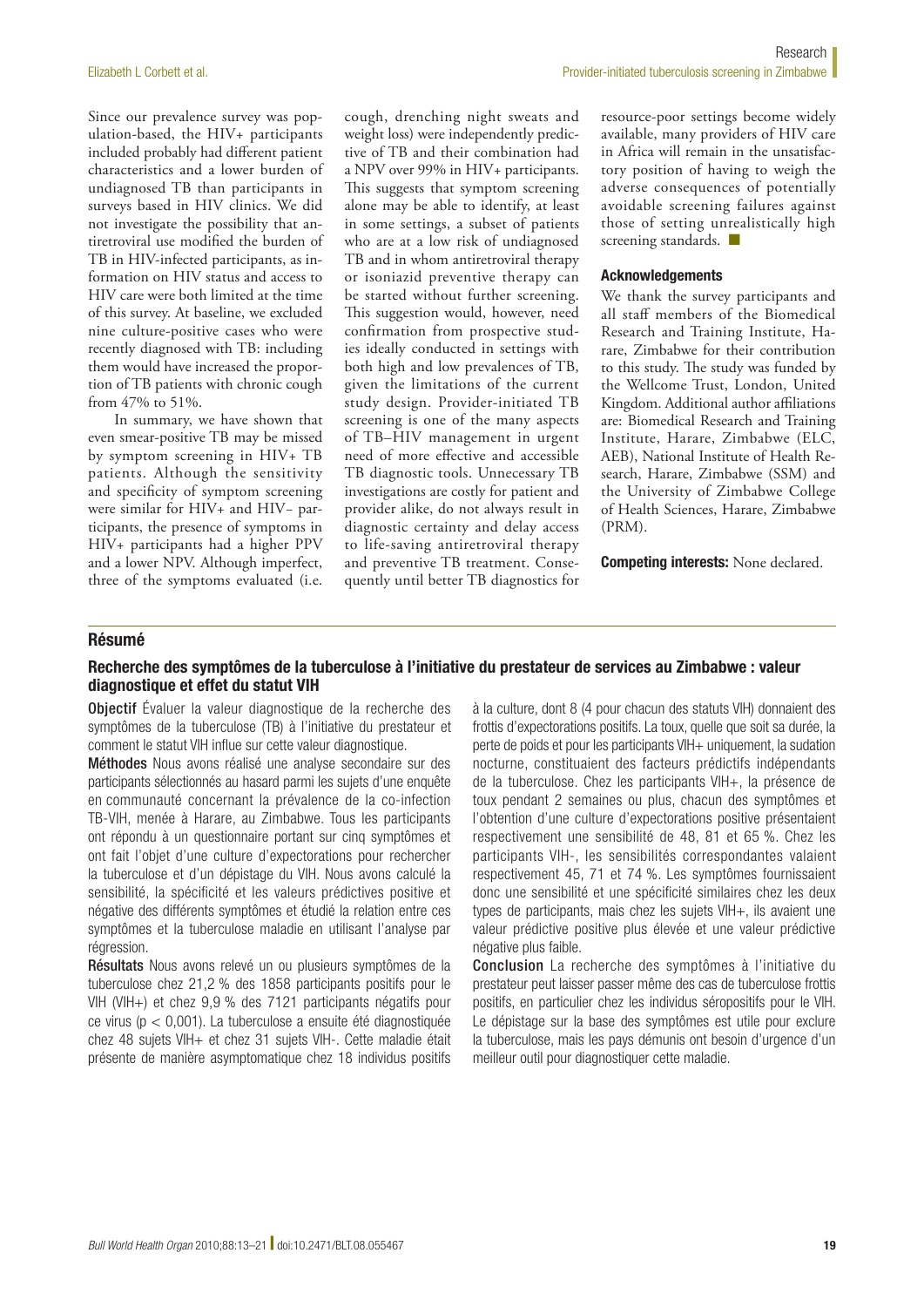Since our prevalence survey was population-based, the HIV+ participants included probably had different patient characteristics and a lower burden of undiagnosed TB than participants in surveys based in HIV clinics. We did not investigate the possibility that antiretroviral use modified the burden of TB in HIV-infected participants, as information on HIV status and access to HIV care were both limited at the time of this survey. At baseline, we excluded nine culture-positive cases who were recently diagnosed with TB: including them would have increased the proportion of TB patients with chronic cough from 47% to 51%.

In summary, we have shown that even smear-positive TB may be missed by symptom screening in HIV+ TB patients. Although the sensitivity and specificity of symptom screening were similar for HIV+ and HIV− participants, the presence of symptoms in HIV+ participants had a higher PPV and a lower NPV. Although imperfect, three of the symptoms evaluated (i.e.

cough, drenching night sweats and weight loss) were independently predictive of TB and their combination had a NPV over 99% in HIV+ participants. This suggests that symptom screening alone may be able to identify, at least in some settings, a subset of patients who are at a low risk of undiagnosed TB and in whom antiretroviral therapy or isoniazid preventive therapy can be started without further screening. This suggestion would, however, need confirmation from prospective studies ideally conducted in settings with both high and low prevalences of TB, given the limitations of the current study design. Provider-initiated TB screening is one of the many aspects of TB–HIV management in urgent need of more effective and accessible TB diagnostic tools. Unnecessary TB investigations are costly for patient and provider alike, do not always result in diagnostic certainty and delay access to life-saving antiretroviral therapy and preventive TB treatment. Consequently until better TB diagnostics for resource-poor settings become widely available, many providers of HIV care in Africa will remain in the unsatisfactory position of having to weigh the adverse consequences of potentially avoidable screening failures against those of setting unrealistically high screening standards.

#### Acknowledgements

We thank the survey participants and all staff members of the Biomedical Research and Training Institute, Harare, Zimbabwe for their contribution to this study. The study was funded by the Wellcome Trust, London, United Kingdom. Additional author affiliations are: Biomedical Research and Training Institute, Harare, Zimbabwe (ELC, AEB), National Institute of Health Research, Harare, Zimbabwe (SSM) and the University of Zimbabwe College of Health Sciences, Harare, Zimbabwe (PRM).

Competing interests: None declared.

#### Résumé

# Recherche des symptômes de la tuberculose à l'initiative du prestateur de services au Zimbabwe : valeur diagnostique et effet du statut VIH

Objectif Évaluer la valeur diagnostique de la recherche des symptômes de la tuberculose (TB) à l'initiative du prestateur et comment le statut VIH influe sur cette valeur diagnostique.

Méthodes Nous avons réalisé une analyse secondaire sur des participants sélectionnés au hasard parmi les sujets d'une enquête en communauté concernant la prévalence de la co-infection TB-VIH, menée à Harare, au Zimbabwe. Tous les participants ont répondu à un questionnaire portant sur cinq symptômes et ont fait l'objet d'une culture d'expectorations pour rechercher la tuberculose et d'un dépistage du VIH. Nous avons calculé la sensibilité, la spécificité et les valeurs prédictives positive et négative des différents symptômes et étudié la relation entre ces symptômes et la tuberculose maladie en utilisant l'analyse par régression.

Résultats Nous avons relevé un ou plusieurs symptômes de la tuberculose chez 21,2 % des 1858 participants positifs pour le VIH (VIH+) et chez 9,9 % des 7121 participants négatifs pour ce virus (p < 0,001). La tuberculose a ensuite été diagnostiquée chez 48 sujets VIH+ et chez 31 sujets VIH-. Cette maladie était présente de manière asymptomatique chez 18 individus positifs à la culture, dont 8 (4 pour chacun des statuts VIH) donnaient des frottis d'expectorations positifs. La toux, quelle que soit sa durée, la perte de poids et pour les participants VIH+ uniquement, la sudation nocturne, constituaient des facteurs prédictifs indépendants de la tuberculose. Chez les participants VIH+, la présence de toux pendant 2 semaines ou plus, chacun des symptômes et l'obtention d'une culture d'expectorations positive présentaient respectivement une sensibilité de 48, 81 et 65 %. Chez les participants VIH-, les sensibilités correspondantes valaient respectivement 45, 71 et 74 %. Les symptômes fournissaient donc une sensibilité et une spécificité similaires chez les deux types de participants, mais chez les sujets VIH+, ils avaient une valeur prédictive positive plus élevée et une valeur prédictive négative plus faible.

Conclusion La recherche des symptômes à l'initiative du prestateur peut laisser passer même des cas de tuberculose frottis positifs, en particulier chez les individus séropositifs pour le VIH. Le dépistage sur la base des symptômes est utile pour exclure la tuberculose, mais les pays démunis ont besoin d'urgence d'un meilleur outil pour diagnostiquer cette maladie.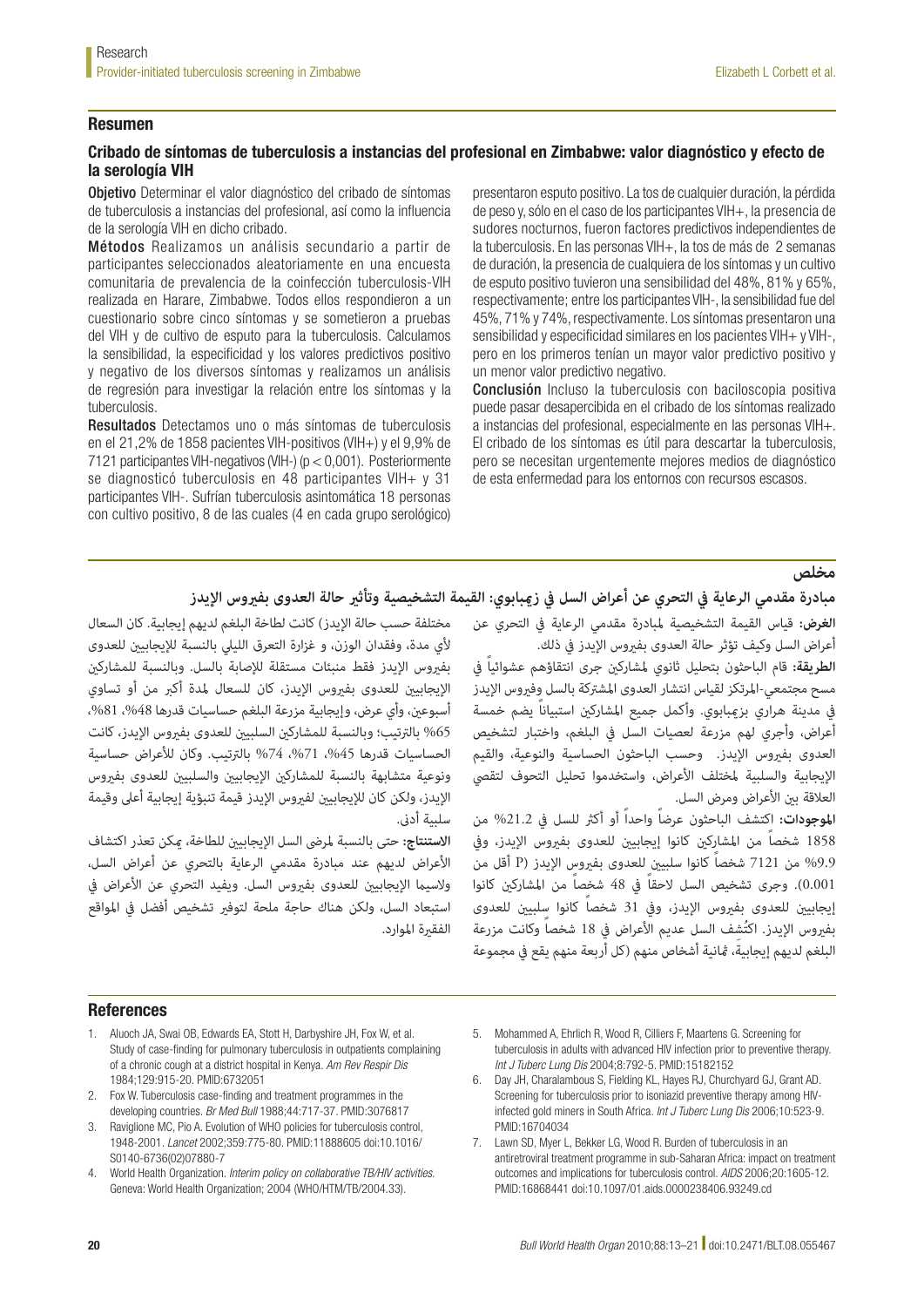#### Resumen

# Cribado de síntomas de tuberculosis a instancias del profesional en Zimbabwe: valor diagnóstico y efecto de la serología VIH

Objetivo Determinar el valor diagnóstico del cribado de síntomas de tuberculosis a instancias del profesional, así como la influencia de la serología VIH en dicho cribado.

Métodos Realizamos un análisis secundario a partir de participantes seleccionados aleatoriamente en una encuesta comunitaria de prevalencia de la coinfección tuberculosis-VIH realizada en Harare, Zimbabwe. Todos ellos respondieron a un cuestionario sobre cinco síntomas y se sometieron a pruebas del VIH y de cultivo de esputo para la tuberculosis. Calculamos la sensibilidad, la especificidad y los valores predictivos positivo y negativo de los diversos síntomas y realizamos un análisis de regresión para investigar la relación entre los síntomas y la tuberculosis.

Resultados Detectamos uno o más síntomas de tuberculosis en el 21,2% de 1858 pacientes VIH-positivos (VIH+) y el 9,9% de 7121 participantes VIH-negativos (VIH-) (p < 0,001). Posteriormente se diagnosticó tuberculosis en 48 participantes VIH+ y 31 participantes VIH-. Sufrían tuberculosis asintomática 18 personas con cultivo positivo, 8 de las cuales (4 en cada grupo serológico) presentaron esputo positivo. La tos de cualquier duración, la pérdida de peso y, sólo en el caso de los participantes VIH+, la presencia de sudores nocturnos, fueron factores predictivos independientes de la tuberculosis. En las personas VIH+, la tos de más de 2 semanas de duración, la presencia de cualquiera de los síntomas y un cultivo de esputo positivo tuvieron una sensibilidad del 48%, 81% y 65%, respectivamente; entre los participantes VIH-, la sensibilidad fue del 45%, 71% y 74%, respectivamente. Los síntomas presentaron una sensibilidad y especificidad similares en los pacientes VIH+ y VIH-, pero en los primeros tenían un mayor valor predictivo positivo y un menor valor predictivo negativo.

Conclusión Incluso la tuberculosis con baciloscopia positiva puede pasar desapercibida en el cribado de los síntomas realizado a instancias del profesional, especialmente en las personas VIH+. El cribado de los síntomas es útil para descartar la tuberculosis, pero se necesitan urgentemente mejores medios de diagnóstico de esta enfermedad para los entornos con recursos escasos.

# **مخلص**

# **مبادرة مقدمي الرعاية يف التحري عن أعراض السل يف زميبابوي: القيمة التشخيصية وتأثري حالة العدوى بفريوس اإليدز**

مختلفة حسب حالة اإليدز( كانت لطاخة البلغم لديهم إيجابية. كان السعال ألي مدة، وفقدان الوزن، و غزارة التعرق اللييل بالنسبة لإليجابيني للعدوى بفريوس اإليدز فقط منبئات مستقلة لإلصابة بالسل. وبالنسبة للمشاركني الإيجابين للعدوى بفروس الإيدز، كان للسعال لمدة أكبر من أو تساوي أسبوعين، وأي عرض، وإيجابية مزرعة البلغم حساسيات قدرها 48%، 81%، 65% بالترتيب؛ وبالنسبة للمشاركين السلبيين للعدوى بفيروس الإيدز، كانت الحساسيات قدرها 45%، 71%، 74% بالترتيب. وكان للأعراض حساسية ونوعية متشابهة بالنسبة للمشاركين الإيجابيين والسلبيين للعدوى بفيروس الإيدز، ولكن كان للإيجابين لفيروس الإيدز قيمة تنبؤية إيجابية أعلى وقيمة سلبية أدىن.

**االستنتاج:** حتى بالنسبة ملرىض السل اإليجابيني للطاخة، ميكن تعذر اكتشاف األعراض لديهم عند مبادرة مقدمي الرعاية بالتحري عن أعراض السل، ولاسيما الإيجابيين للعدوى بفيروس السل. ويفيد التحري عن الأعراض في استبعاد السل، ولكن هناك حاجة ملحة لتوفري تشخيص أفضل يف املواقع الفقرية املوارد. **الغرض:** قياس القيمة التشخيصية ملبادرة مقدمي الرعاية يف التحري عن أعراض السل وكيف تؤثر حالة العدوى بفيروس الإيدز في ذلك.

**الطريقة:** قام الباحثون بتحليل ثانوي ملشاركني جرى انتقاؤهم عشوائياً يف مسح مجتمعي-املرتكز لقياس انتشار العدوى املشرتكة بالسل وفريوس اإليدز يف مدينة هراري بزميبابوي. وأكمل جميع املشاركني استبياناً يضم خمسة أعراض، وأجري لهم مزرعة لعصيات السل يف البلغم، واختبار لتشخيص العدوى بفريوس اإليدز. وحسب الباحثون الحساسية والنوعية، والقيم الإيجابية والسلبية لمختلف الأعراض، واستخدموا تحليل التحوف لتقصى العلاقة بين الأعراض ومرض السل.

**املوجودات:** اكتشف الباحثون عرضاً واحداً أو أكرث للسل يف %21.2 من 1858 شخصاً من المشاركن كانوا إيجابين للعدوى بفروس الإيدز، وفي %9.9 من 7121 شخصاً كانوا سلبيني للعدوى بفريوس اإليدز )P أقل من 0.001(. وجرى تشخيص السل الحقاً يف 48 شخصاً من املشاركني كانوا إيجابيني للعدوى بفريوس اإليدز، ويف 31 شخصاً كانوا سلبيني للعدوى يفروس الإيدز. اكتُشف السل عديم الأعراض في 18 شخصاً وكانت مزرعة البلغم لديهم إيجابية، ڠانية أشخاص منهم (كل أربعة منهم يقع في مجموعة

#### References

- 1. Aluoch JA, Swai OB, Edwards EA, Stott H, Darbyshire JH, Fox W, et al. Study of case-finding for pulmonary tuberculosis in outpatients complaining of a chronic cough at a district hospital in Kenya. *Am Rev Respir Dis* 1984;129:915-20. [PMID:6732051](http://www.ncbi.nlm.nih.gov/entrez/query.fcgi?cmd=Retrieve&db=PubMed&list_uids=6732051&dopt=Abstract)
- 2. Fox W. Tuberculosis case-finding and treatment programmes in the developing countries. *Br Med Bull* 1988;44:717-37. [PMID:3076817](http://www.ncbi.nlm.nih.gov/entrez/query.fcgi?cmd=Retrieve&db=PubMed&list_uids=3076817&dopt=Abstract)
- 3. Raviglione MC, Pio A. Evolution of WHO policies for tuberculosis control, 1948-2001. *Lancet* 2002;359:775-80. [PMID:11888605](http://www.ncbi.nlm.nih.gov/entrez/query.fcgi?cmd=Retrieve&db=PubMed&list_uids=11888605&dopt=Abstract) [doi:10.1016/](http://dx.doi.org/10.1016/S0140-6736(02)07880-7) [S0140-6736\(02\)07880-7](http://dx.doi.org/10.1016/S0140-6736(02)07880-7)
- 4. World Health Organization. *Interim policy on collaborative TB/HIV activities*. Geneva: World Health Organization; 2004 (WHO/HTM/TB/2004.33).
- 5. Mohammed A, Ehrlich R, Wood R, Cilliers F, Maartens G. Screening for tuberculosis in adults with advanced HIV infection prior to preventive therapy. *Int J Tuberc Lung Dis* 2004;8:792-5. [PMID:15182152](http://www.ncbi.nlm.nih.gov/entrez/query.fcgi?cmd=Retrieve&db=PubMed&list_uids=15182152&dopt=Abstract)
- 6. Day JH, Charalambous S, Fielding KL, Hayes RJ, Churchyard GJ, Grant AD. Screening for tuberculosis prior to isoniazid preventive therapy among HIVinfected gold miners in South Africa. *Int J Tuberc Lung Dis* 2006;10:523-9. [PMID:16704034](http://www.ncbi.nlm.nih.gov/entrez/query.fcgi?cmd=Retrieve&db=PubMed&list_uids=16704034&dopt=Abstract)
- 7. Lawn SD, Myer L, Bekker LG, Wood R. Burden of tuberculosis in an antiretroviral treatment programme in sub-Saharan Africa: impact on treatment outcomes and implications for tuberculosis control. *AIDS* 2006;20:1605-12. [PMID:16868441](http://www.ncbi.nlm.nih.gov/entrez/query.fcgi?cmd=Retrieve&db=PubMed&list_uids=16868441&dopt=Abstract) [doi:10.1097/01.aids.0000238406.93249.cd](http://dx.doi.org/10.1097/01.aids.0000238406.93249.cd)